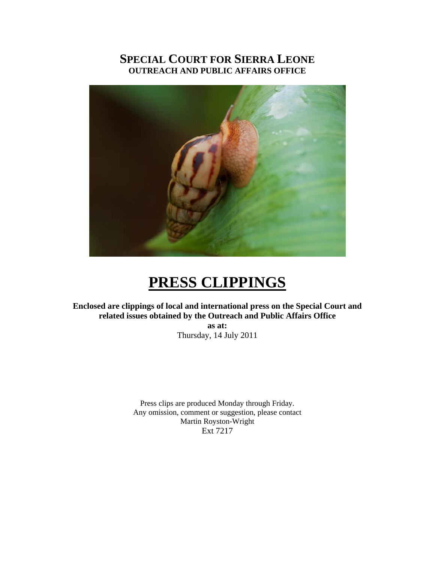### **SPECIAL COURT FOR SIERRA LEONE OUTREACH AND PUBLIC AFFAIRS OFFICE**



# **PRESS CLIPPINGS**

**Enclosed are clippings of local and international press on the Special Court and related issues obtained by the Outreach and Public Affairs Office as at:** 

Thursday, 14 July 2011

Press clips are produced Monday through Friday. Any omission, comment or suggestion, please contact Martin Royston-Wright Ext 7217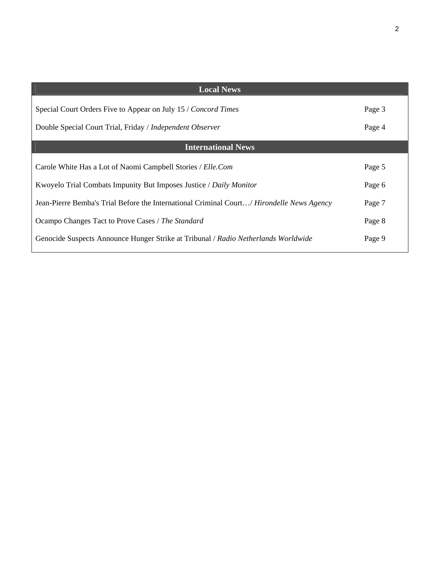| <b>Local News</b>                                                                                |        |
|--------------------------------------------------------------------------------------------------|--------|
| Special Court Orders Five to Appear on July 15 / Concord Times                                   | Page 3 |
| Double Special Court Trial, Friday / Independent Observer                                        | Page 4 |
| <b>International News</b>                                                                        |        |
| Carole White Has a Lot of Naomi Campbell Stories / Elle.Com                                      | Page 5 |
| Kwoyelo Trial Combats Impunity But Imposes Justice / Daily Monitor                               | Page 6 |
| Jean-Pierre Bemba's Trial Before the International Criminal Court/ <i>Hirondelle News Agency</i> | Page 7 |
| Ocampo Changes Tact to Prove Cases / The Standard                                                | Page 8 |
| Genocide Suspects Announce Hunger Strike at Tribunal / Radio Netherlands Worldwide               | Page 9 |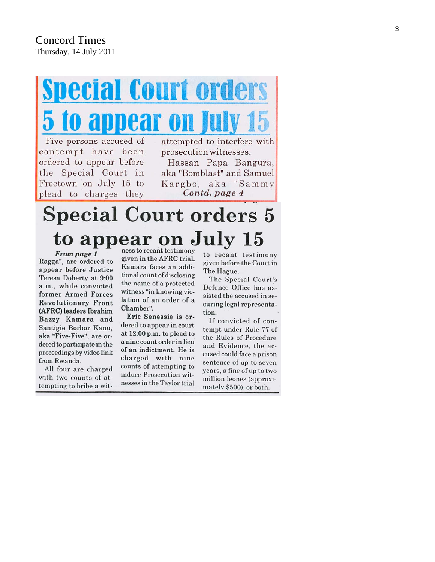# **Decial Court orders** opear on

Five persons accused of contempt have been ordered to appear before the Special Court in Freetown on July 15 to plead to charges they

attempted to interfere with prosecution witnesses.

Hassan Papa Bangura, aka "Bomblast" and Samuel Kargbo, aka "Sammy Contd. page 4

# **Special Court orders 5** to appear on July 15

From page 1 Ragga", are ordered to appear before Justice Teresa Doherty at 9:00 a.m., while convicted former Armed Forces **Revolutionary Front** (AFRC) leaders Ibrahim Bazzy Kamara and Santigie Borbor Kanu, aka "Five-Five", are ordered to participate in the proceedings by video link from Rwanda.

All four are charged with two counts of attempting to bribe a wit-

ness to recant testimony given in the AFRC trial. Kamara faces an additional count of disclosing the name of a protected witness "in knowing violation of an order of a Chamber".

Eric Senessie is ordered to appear in court at  $12:00$  p.m. to plead to a nine count order in lieu of an indictment. He is charged with nine counts of attempting to induce Prosecution witnesses in the Taylor trial

to recant testimony given before the Court in The Hague.

The Special Court's Defence Office has assisted the accused in securing legal representation.

If convicted of contempt under Rule 77 of the Rules of Procedure and Evidence, the accused could face a prison sentence of up to seven years, a fine of up to two million leones (approximately \$500), or both.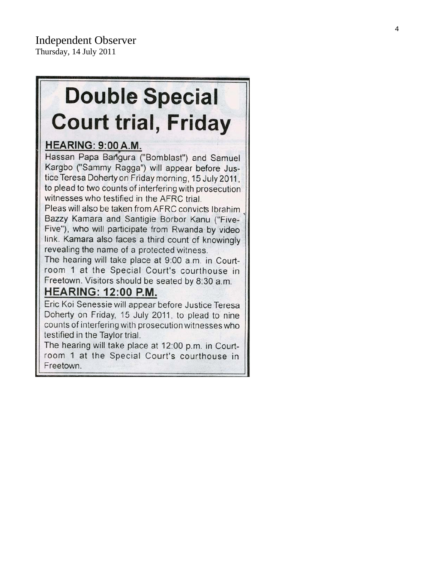# **Double Special Court trial, Friday**

## HEARING: 9:00 A.M.

Hassan Papa Bangura ("Bomblast") and Samuel Kargbo ("Sammy Ragga") will appear before Justice Teresa Doherty on Friday morning, 15 July 2011, to plead to two counts of interfering with prosecution witnesses who testified in the AFRC trial.

Pleas will also be taken from AFRC convicts Ibrahim Bazzy Kamara and Santigie Borbor Kanu ("Five-Five"), who will participate from Rwanda by video link. Kamara also faces a third count of knowingly revealing the name of a protected witness.

The hearing will take place at 9:00 a.m. in Courtroom 1 at the Special Court's courthouse in Freetown. Visitors should be seated by 8:30 a.m.

## **HEARING: 12:00 P.M.**

Eric Koi Senessie will appear before Justice Teresa Doherty on Friday, 15 July 2011, to plead to nine counts of interfering with prosecution witnesses who testified in the Taylor trial.

The hearing will take place at 12:00 p.m. in Courtroom 1 at the Special Court's courthouse in Freetown.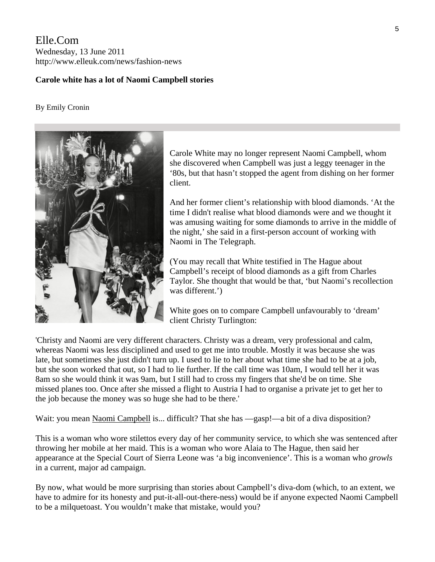Elle.Com Wednesday, 13 June 2011 http://www.elleuk.com/news/fashion-news

#### **Carole white has a lot of Naomi Campbell stories**

#### By [Emily Cronin](http://www.elleuk.com/find/(term)/Emily%20Cronin)



Carole White may no longer represent Naomi Campbell, whom she discovered when Campbell was just a leggy teenager in the '80s, but that hasn't stopped the agent from dishing on her former client.

And her former client's relationship with blood diamonds. 'At the time I didn't realise what blood diamonds were and we thought it was amusing waiting for some diamonds to arrive in the middle of the night,' she said in a first-person account of working with Naomi in [The Telegraph](http://fashion.telegraph.co.uk/news-features/TMG8632100/Flashback-Carole-White-recalls-happier-times-with-Naomi-Campbell.html).

(You may recall that White testified in The Hague about Campbell's receipt of blood diamonds as a gift from Charles Taylor. She thought that would be that, 'but Naomi's recollection was different.')

White goes on to compare Campbell unfavourably to 'dream' client Christy Turlington:

'Christy and Naomi are very different characters. Christy was a dream, very professional and calm, whereas Naomi was less disciplined and used to get me into trouble. Mostly it was because she was late, but sometimes she just didn't turn up. I used to lie to her about what time she had to be at a job, but she soon worked that out, so I had to lie further. If the call time was 10am, I would tell her it was 8am so she would think it was 9am, but I still had to cross my fingers that she'd be on time. She missed planes too. Once after she missed a flight to Austria I had to organise a private jet to get her to the job because the money was so huge she had to be there.'

Wait: you mean [Naomi Campbell](http://www.elleuk.com/starstyle/style-files/(section)/naomi-campbell) is... difficult? That she has —gasp!—a bit of a diva disposition?

This is a woman who wore stilettos every day of her community service, to which she was sentenced after throwing her mobile at her maid. This is a woman who wore Alaia to The Hague, then said her appearance at the Special Court of Sierra Leone was 'a big inconvenience'. This is a woman who *growls*  in a current, major ad campaign.

By now, what would be more surprising than stories about Campbell's diva-dom (which, to an extent, we have to admire for its honesty and put-it-all-out-there-ness) would be if anyone expected Naomi Campbell to be a milquetoast. You wouldn't make that mistake, would you?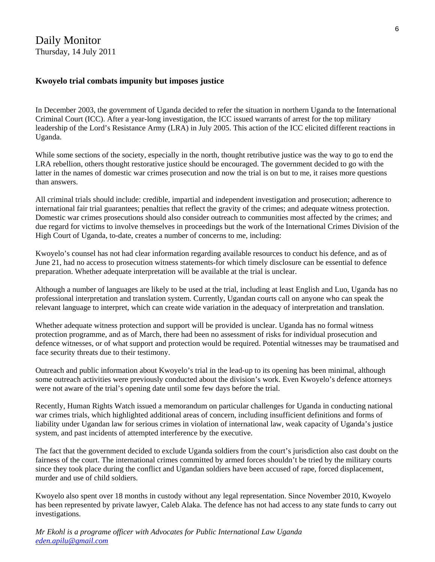#### **Kwoyelo trial combats impunity but imposes justice**

In December 2003, the government of Uganda decided to refer the situation in northern Uganda to the International Criminal Court (ICC). After a year-long investigation, the ICC issued warrants of arrest for the top military leadership of the Lord's Resistance Army (LRA) in July 2005. This action of the ICC elicited different reactions in Uganda.

While some sections of the society, especially in the north, thought retributive justice was the way to go to end the LRA rebellion, others thought restorative justice should be encouraged. The government decided to go with the latter in the names of domestic war crimes prosecution and now the trial is on but to me, it raises more questions than answers.

All criminal trials should include: credible, impartial and independent investigation and prosecution; adherence to international fair trial guarantees; penalties that reflect the gravity of the crimes; and adequate witness protection. Domestic war crimes prosecutions should also consider outreach to communities most affected by the crimes; and due regard for victims to involve themselves in proceedings but the work of the International Crimes Division of the High Court of Uganda, to-date, creates a number of concerns to me, including:

Kwoyelo's counsel has not had clear information regarding available resources to conduct his defence, and as of June 21, had no access to prosecution witness statements-for which timely disclosure can be essential to defence preparation. Whether adequate interpretation will be available at the trial is unclear.

Although a number of languages are likely to be used at the trial, including at least English and Luo, Uganda has no professional interpretation and translation system. Currently, Ugandan courts call on anyone who can speak the relevant language to interpret, which can create wide variation in the adequacy of interpretation and translation.

Whether adequate witness protection and support will be provided is unclear. Uganda has no formal witness protection programme, and as of March, there had been no assessment of risks for individual prosecution and defence witnesses, or of what support and protection would be required. Potential witnesses may be traumatised and face security threats due to their testimony.

Outreach and public information about Kwoyelo's trial in the lead-up to its opening has been minimal, although some outreach activities were previously conducted about the division's work. Even Kwoyelo's defence attorneys were not aware of the trial's opening date until some few days before the trial.

Recently, Human Rights Watch issued a memorandum on particular challenges for Uganda in conducting national war crimes trials, which highlighted additional areas of concern, including insufficient definitions and forms of liability under Ugandan law for serious crimes in violation of international law, weak capacity of Uganda's justice system, and past incidents of attempted interference by the executive.

The fact that the government decided to exclude Uganda soldiers from the court's jurisdiction also cast doubt on the fairness of the court. The international crimes committed by armed forces shouldn't be tried by the military courts since they took place during the conflict and Ugandan soldiers have been accused of rape, forced displacement, murder and use of child soldiers.

Kwoyelo also spent over 18 months in custody without any legal representation. Since November 2010, Kwoyelo has been represented by private lawyer, Caleb Alaka. The defence has not had access to any state funds to carry out investigations.

*Mr Ekohl is a programe officer with Advocates for Public International Law Uganda [eden.apilu@gmail.com](mailto:eden.apilu@gmail.com)*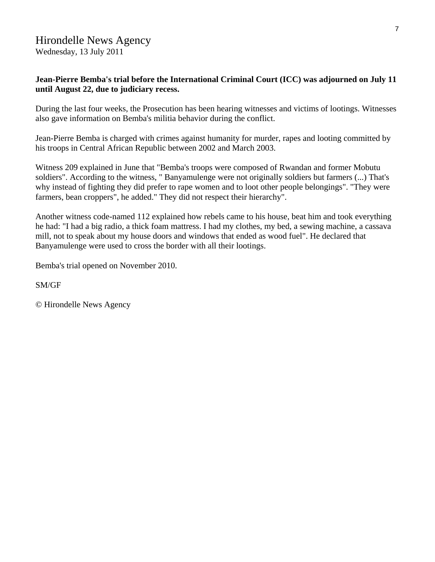# Hirondelle News Agency

Wednesday, 13 July 2011

#### **Jean-Pierre Bemba's trial before the International Criminal Court (ICC) was adjourned on July 11 until August 22, due to judiciary recess.**

During the last four weeks, the Prosecution has been hearing witnesses and victims of lootings. Witnesses also gave information on Bemba's militia behavior during the conflict.

Jean-Pierre Bemba is charged with crimes against humanity for murder, rapes and looting committed by his troops in Central African Republic between 2002 and March 2003.

Witness 209 explained in June that "Bemba's troops were composed of Rwandan and former Mobutu soldiers". According to the witness, " Banyamulenge were not originally soldiers but farmers (...) That's why instead of fighting they did prefer to rape women and to loot other people belongings". "They were farmers, bean croppers", he added." They did not respect their hierarchy".

Another witness code-named 112 explained how rebels came to his house, beat him and took everything he had: "I had a big radio, a thick foam mattress. I had my clothes, my bed, a sewing machine, a cassava mill, not to speak about my house doors and windows that ended as wood fuel". He declared that Banyamulenge were used to cross the border with all their lootings.

Bemba's trial opened on November 2010.

SM/GF

© Hirondelle News Agency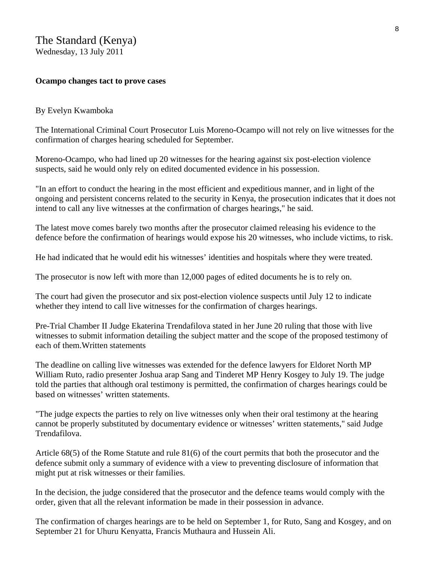Wednesday, 13 July 2011

#### **Ocampo changes tact to prove cases**

#### By Evelyn Kwamboka

The International Criminal Court Prosecutor Luis Moreno-Ocampo will not rely on live witnesses for the confirmation of charges hearing scheduled for September.

Moreno-Ocampo, who had lined up 20 witnesses for the hearing against six post-election violence suspects, said he would only rely on edited documented evidence in his possession.

"In an effort to conduct the hearing in the most efficient and expeditious manner, and in light of the ongoing and persistent concerns related to the security in Kenya, the prosecution indicates that it does not intend to call any live witnesses at the confirmation of charges hearings," he said.

The latest move comes barely two months after the prosecutor claimed releasing his evidence to the defence before the confirmation of hearings would expose his 20 witnesses, who include victims, to risk.

He had indicated that he would edit his witnesses' identities and hospitals where they were treated.

The prosecutor is now left with more than 12,000 pages of edited documents he is to rely on.

The court had given the prosecutor and six post-election violence suspects until July 12 to indicate whether they intend to call live witnesses for the confirmation of charges hearings.

Pre-Trial Chamber II Judge Ekaterina Trendafilova stated in her June 20 ruling that those with live witnesses to submit information detailing the subject matter and the scope of the proposed testimony of each of them.Written statements

The deadline on calling live witnesses was extended for the defence lawyers for Eldoret North MP William Ruto, radio presenter Joshua arap Sang and Tinderet MP Henry Kosgey to July 19. The judge told the parties that although oral testimony is permitted, the confirmation of charges hearings could be based on witnesses' written statements.

"The judge expects the parties to rely on live witnesses only when their oral testimony at the hearing cannot be properly substituted by documentary evidence or witnesses' written statements," said Judge Trendafilova.

Article 68(5) of the Rome Statute and rule 81(6) of the court permits that both the prosecutor and the defence submit only a summary of evidence with a view to preventing disclosure of information that might put at risk witnesses or their families.

In the decision, the judge considered that the prosecutor and the defence teams would comply with the order, given that all the relevant information be made in their possession in advance.

The confirmation of charges hearings are to be held on September 1, for Ruto, Sang and Kosgey, and on September 21 for Uhuru Kenyatta, Francis Muthaura and Hussein Ali.